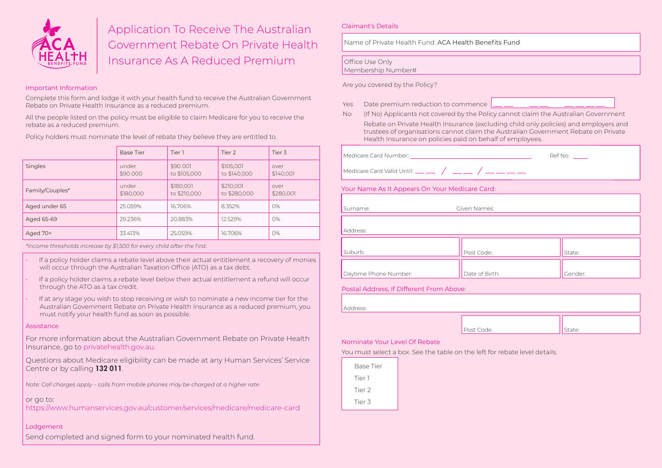

# Application To Receive The Australian Government Rebate On Private Health Insurance As A Reduced Premium

# Important Information

Complete this form and lodge it with your health fund to receive the Australian Government Rebate on Private Health Insurance as a reduced premium.

All the people listed on the policy must be eligible to claim Medicare for you to receive the rebate as a reduced premium.

Policy holders must nominate the level of rebate they believe they are entitled to.

|                 | <b>Base Tier</b>   | Tier 1                    | Tier 2                    | Tier 3            |
|-----------------|--------------------|---------------------------|---------------------------|-------------------|
| Singles         | under<br>\$90 000  | \$90 001<br>to \$105,000  | \$105,001<br>to \$140,000 | over<br>\$140,001 |
| Family/Couples* | under<br>\$180,000 | \$180,001<br>to \$210,000 | \$210,001<br>to \$280,000 | over<br>\$280,001 |
| Aged under 65   | 25.059%            | 16.706%                   | 8.352%                    | O%                |
| Aged 65-69      | 29.236%            | 20.883%                   | 12.529%                   | O%                |
| Aged 70+        | 33.413%            | 25.059%                   | 16.706%                   | 0%                |

*\*Income thresholds increase by \$1,500 for every child after the first.*

- If a policy holder claims a rebate level above their actual entitlement a recovery of monies will occur through the Australian Taxation Office (ATO) as a tax debt.
- If a policy holder claims a rebate level below their actual entitlement a refund will occur through the ATO as a tax credit.
- If at any stage you wish to stop receiving or wish to nominate a new income tier for the Australian Government Rebate on Private Health Insurance as a reduced premium, you must notify your health fund as soon as possible.

#### **Assistance**

For more information about the Australian Government Rebate on Private Health Insurance, go to privatehealth.gov.au.

Questions about Medicare eligibility can be made at any Human Services' Service Centre or by calling 132 011.

*Note: Call charges apply – calls from mobile phones may be charged at a higher rate.*

## or go to:

https://www.humanservices.gov.au/customer/services/medicare/medicare-card

# Lodgement

Send completed and signed form to your nominated health fund.

## Claimant's Details

Name of Private Health Fund: ACA Health Benefits Fund

# Office Use Only

Membership Number#

Are you covered by the Policy?

- Yes Date premium reduction to commence
- No (If No) Applicants not covered by the Policy cannot claim the Australian Government Rebate on Private Health Insurance (excluding child only policies) and employers and trustees of organisations cannot claim the Australian Government Rebate on Private Health Insurance on policies paid on behalf of employees.

| Medicare Card Number:                        | Ref No: |  |
|----------------------------------------------|---------|--|
| Medicare Card Valid Until: __ __ / __ __ / _ |         |  |

# Your Name As It Appears On Your Medicare Card:

| Given Names:   |         |
|----------------|---------|
|                |         |
|                |         |
|                |         |
| Post Code:     | State:  |
|                |         |
| Date of Birth: | Gender: |
|                |         |

## Postal Address, If Different From Above:

| Address: |            |        |
|----------|------------|--------|
|          | Post Code: | State: |

# Nominate Your Level Of Rebate

You must select a box. See the table on the left for rebate level details.

| Base Tier |  |
|-----------|--|
| Tier 1    |  |
| Tier 2    |  |
| Tier 3    |  |